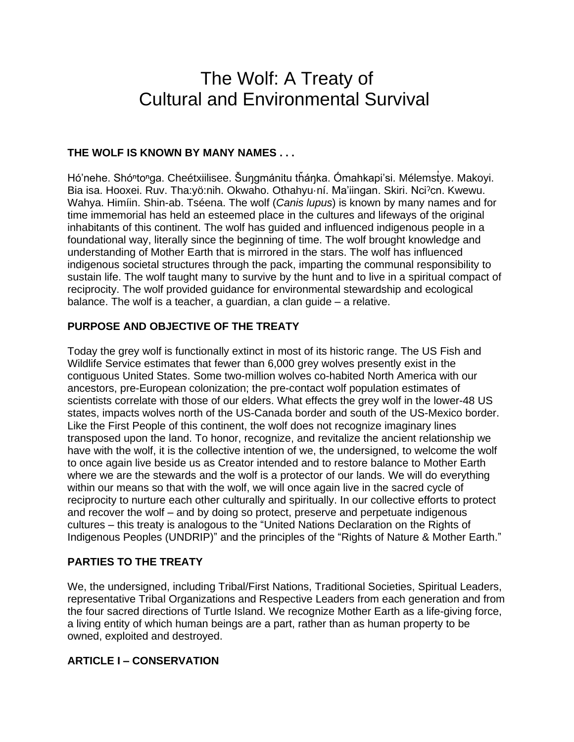# The Wolf: A Treaty of Cultural and Environmental Survival

## **THE WOLF IS KNOWN BY MANY NAMES . . .**

Hó'nehe. Shóʰtoʰga. Cheétxiilisee. Šuŋgmánitu tȟáŋka. Ómahkapi'si. Mélemstye. Makoyi. Bia isa. Hooxei. Ruv. Tha:yö:nih. Okwaho. Othahyu·ní. Ma'iingan. Skiri. Nciˀcn. Kwewu. Wahya. Himíin. Shin-ab. Tséena. The wolf (*Canis lupus*) is known by many names and for time immemorial has held an esteemed place in the cultures and lifeways of the original inhabitants of this continent. The wolf has guided and influenced indigenous people in a foundational way, literally since the beginning of time. The wolf brought knowledge and understanding of Mother Earth that is mirrored in the stars. The wolf has influenced indigenous societal structures through the pack, imparting the communal responsibility to sustain life. The wolf taught many to survive by the hunt and to live in a spiritual compact of reciprocity. The wolf provided guidance for environmental stewardship and ecological balance. The wolf is a teacher, a guardian, a clan guide – a relative.

## **PURPOSE AND OBJECTIVE OF THE TREATY**

Today the grey wolf is functionally extinct in most of its historic range. The US Fish and Wildlife Service estimates that fewer than 6,000 grey wolves presently exist in the contiguous United States. Some two-million wolves co-habited North America with our ancestors, pre-European colonization; the pre-contact wolf population estimates of scientists correlate with those of our elders. What effects the grey wolf in the lower-48 US states, impacts wolves north of the US-Canada border and south of the US-Mexico border. Like the First People of this continent, the wolf does not recognize imaginary lines transposed upon the land. To honor, recognize, and revitalize the ancient relationship we have with the wolf, it is the collective intention of we, the undersigned, to welcome the wolf to once again live beside us as Creator intended and to restore balance to Mother Earth where we are the stewards and the wolf is a protector of our lands. We will do everything within our means so that with the wolf, we will once again live in the sacred cycle of reciprocity to nurture each other culturally and spiritually. In our collective efforts to protect and recover the wolf – and by doing so protect, preserve and perpetuate indigenous cultures – this treaty is analogous to the "United Nations Declaration on the Rights of Indigenous Peoples (UNDRIP)" and the principles of the "Rights of Nature & Mother Earth."

## **PARTIES TO THE TREATY**

We, the undersigned, including Tribal/First Nations, Traditional Societies, Spiritual Leaders, representative Tribal Organizations and Respective Leaders from each generation and from the four sacred directions of Turtle Island. We recognize Mother Earth as a life-giving force, a living entity of which human beings are a part, rather than as human property to be owned, exploited and destroyed.

## **ARTICLE I – CONSERVATION**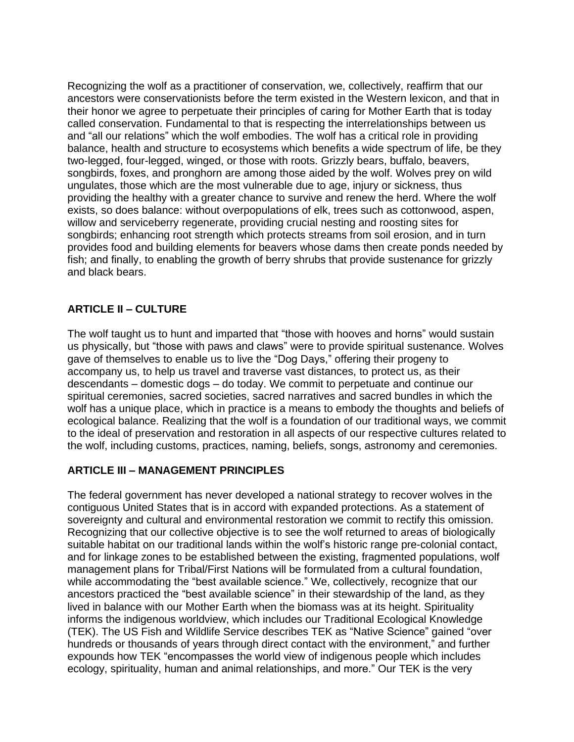Recognizing the wolf as a practitioner of conservation, we, collectively, reaffirm that our ancestors were conservationists before the term existed in the Western lexicon, and that in their honor we agree to perpetuate their principles of caring for Mother Earth that is today called conservation. Fundamental to that is respecting the interrelationships between us and "all our relations" which the wolf embodies. The wolf has a critical role in providing balance, health and structure to ecosystems which benefits a wide spectrum of life, be they two-legged, four-legged, winged, or those with roots. Grizzly bears, buffalo, beavers, songbirds, foxes, and pronghorn are among those aided by the wolf. Wolves prey on wild ungulates, those which are the most vulnerable due to age, injury or sickness, thus providing the healthy with a greater chance to survive and renew the herd. Where the wolf exists, so does balance: without overpopulations of elk, trees such as cottonwood, aspen, willow and serviceberry regenerate, providing crucial nesting and roosting sites for songbirds; enhancing root strength which protects streams from soil erosion, and in turn provides food and building elements for beavers whose dams then create ponds needed by fish; and finally, to enabling the growth of berry shrubs that provide sustenance for grizzly and black bears.

# **ARTICLE II – CULTURE**

The wolf taught us to hunt and imparted that "those with hooves and horns" would sustain us physically, but "those with paws and claws" were to provide spiritual sustenance. Wolves gave of themselves to enable us to live the "Dog Days," offering their progeny to accompany us, to help us travel and traverse vast distances, to protect us, as their descendants – domestic dogs – do today. We commit to perpetuate and continue our spiritual ceremonies, sacred societies, sacred narratives and sacred bundles in which the wolf has a unique place, which in practice is a means to embody the thoughts and beliefs of ecological balance. Realizing that the wolf is a foundation of our traditional ways, we commit to the ideal of preservation and restoration in all aspects of our respective cultures related to the wolf, including customs, practices, naming, beliefs, songs, astronomy and ceremonies.

## **ARTICLE III – MANAGEMENT PRINCIPLES**

The federal government has never developed a national strategy to recover wolves in the contiguous United States that is in accord with expanded protections. As a statement of sovereignty and cultural and environmental restoration we commit to rectify this omission. Recognizing that our collective objective is to see the wolf returned to areas of biologically suitable habitat on our traditional lands within the wolf's historic range pre-colonial contact, and for linkage zones to be established between the existing, fragmented populations, wolf management plans for Tribal/First Nations will be formulated from a cultural foundation, while accommodating the "best available science." We, collectively, recognize that our ancestors practiced the "best available science" in their stewardship of the land, as they lived in balance with our Mother Earth when the biomass was at its height. Spirituality informs the indigenous worldview, which includes our Traditional Ecological Knowledge (TEK). The US Fish and Wildlife Service describes TEK as "Native Science" gained "over hundreds or thousands of years through direct contact with the environment," and further expounds how TEK "encompasses the world view of indigenous people which includes ecology, spirituality, human and animal relationships, and more." Our TEK is the very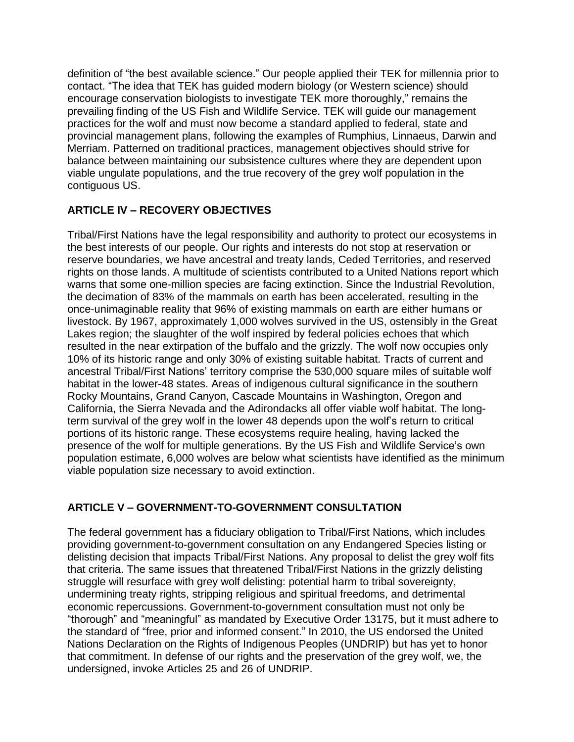definition of "the best available science." Our people applied their TEK for millennia prior to contact. "The idea that TEK has guided modern biology (or Western science) should encourage conservation biologists to investigate TEK more thoroughly," remains the prevailing finding of the US Fish and Wildlife Service. TEK will guide our management practices for the wolf and must now become a standard applied to federal, state and provincial management plans, following the examples of Rumphius, Linnaeus, Darwin and Merriam. Patterned on traditional practices, management objectives should strive for balance between maintaining our subsistence cultures where they are dependent upon viable ungulate populations, and the true recovery of the grey wolf population in the contiguous US.

# **ARTICLE IV – RECOVERY OBJECTIVES**

Tribal/First Nations have the legal responsibility and authority to protect our ecosystems in the best interests of our people. Our rights and interests do not stop at reservation or reserve boundaries, we have ancestral and treaty lands, Ceded Territories, and reserved rights on those lands. A multitude of scientists contributed to a United Nations report which warns that some one-million species are facing extinction. Since the Industrial Revolution, the decimation of 83% of the mammals on earth has been accelerated, resulting in the once-unimaginable reality that 96% of existing mammals on earth are either humans or livestock. By 1967, approximately 1,000 wolves survived in the US, ostensibly in the Great Lakes region; the slaughter of the wolf inspired by federal policies echoes that which resulted in the near extirpation of the buffalo and the grizzly. The wolf now occupies only 10% of its historic range and only 30% of existing suitable habitat. Tracts of current and ancestral Tribal/First Nations' territory comprise the 530,000 square miles of suitable wolf habitat in the lower-48 states. Areas of indigenous cultural significance in the southern Rocky Mountains, Grand Canyon, Cascade Mountains in Washington, Oregon and California, the Sierra Nevada and the Adirondacks all offer viable wolf habitat. The longterm survival of the grey wolf in the lower 48 depends upon the wolf's return to critical portions of its historic range. These ecosystems require healing, having lacked the presence of the wolf for multiple generations. By the US Fish and Wildlife Service's own population estimate, 6,000 wolves are below what scientists have identified as the minimum viable population size necessary to avoid extinction.

## **ARTICLE V – GOVERNMENT-TO-GOVERNMENT CONSULTATION**

The federal government has a fiduciary obligation to Tribal/First Nations, which includes providing government-to-government consultation on any Endangered Species listing or delisting decision that impacts Tribal/First Nations. Any proposal to delist the grey wolf fits that criteria. The same issues that threatened Tribal/First Nations in the grizzly delisting struggle will resurface with grey wolf delisting: potential harm to tribal sovereignty, undermining treaty rights, stripping religious and spiritual freedoms, and detrimental economic repercussions. Government-to-government consultation must not only be "thorough" and "meaningful" as mandated by Executive Order 13175, but it must adhere to the standard of "free, prior and informed consent." In 2010, the US endorsed the United Nations Declaration on the Rights of Indigenous Peoples (UNDRIP) but has yet to honor that commitment. In defense of our rights and the preservation of the grey wolf, we, the undersigned, invoke Articles 25 and 26 of UNDRIP.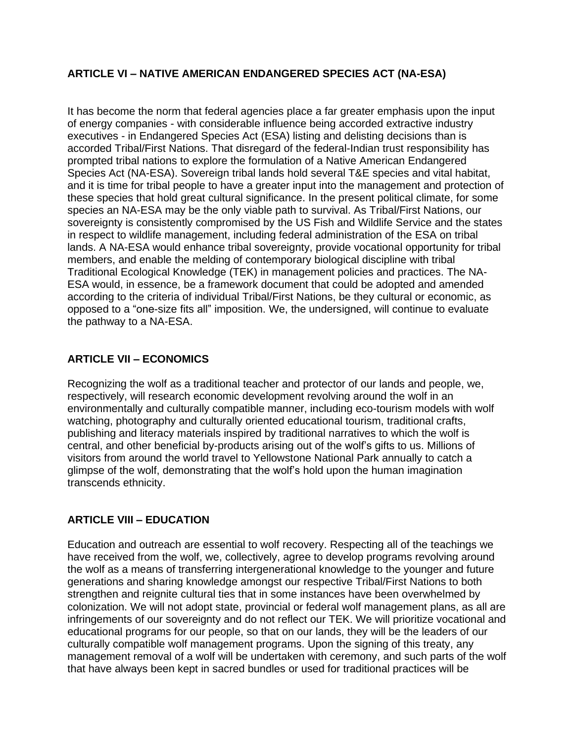# **ARTICLE VI – NATIVE AMERICAN ENDANGERED SPECIES ACT (NA-ESA)**

It has become the norm that federal agencies place a far greater emphasis upon the input of energy companies - with considerable influence being accorded extractive industry executives - in Endangered Species Act (ESA) listing and delisting decisions than is accorded Tribal/First Nations. That disregard of the federal-Indian trust responsibility has prompted tribal nations to explore the formulation of a Native American Endangered Species Act (NA-ESA). Sovereign tribal lands hold several T&E species and vital habitat, and it is time for tribal people to have a greater input into the management and protection of these species that hold great cultural significance. In the present political climate, for some species an NA-ESA may be the only viable path to survival. As Tribal/First Nations, our sovereignty is consistently compromised by the US Fish and Wildlife Service and the states in respect to wildlife management, including federal administration of the ESA on tribal lands. A NA-ESA would enhance tribal sovereignty, provide vocational opportunity for tribal members, and enable the melding of contemporary biological discipline with tribal Traditional Ecological Knowledge (TEK) in management policies and practices. The NA-ESA would, in essence, be a framework document that could be adopted and amended according to the criteria of individual Tribal/First Nations, be they cultural or economic, as opposed to a "one-size fits all" imposition. We, the undersigned, will continue to evaluate the pathway to a NA-ESA.

# **ARTICLE VII – ECONOMICS**

Recognizing the wolf as a traditional teacher and protector of our lands and people, we, respectively, will research economic development revolving around the wolf in an environmentally and culturally compatible manner, including eco-tourism models with wolf watching, photography and culturally oriented educational tourism, traditional crafts, publishing and literacy materials inspired by traditional narratives to which the wolf is central, and other beneficial by-products arising out of the wolf's gifts to us. Millions of visitors from around the world travel to Yellowstone National Park annually to catch a glimpse of the wolf, demonstrating that the wolf's hold upon the human imagination transcends ethnicity.

## **ARTICLE VIII – EDUCATION**

Education and outreach are essential to wolf recovery. Respecting all of the teachings we have received from the wolf, we, collectively, agree to develop programs revolving around the wolf as a means of transferring intergenerational knowledge to the younger and future generations and sharing knowledge amongst our respective Tribal/First Nations to both strengthen and reignite cultural ties that in some instances have been overwhelmed by colonization. We will not adopt state, provincial or federal wolf management plans, as all are infringements of our sovereignty and do not reflect our TEK. We will prioritize vocational and educational programs for our people, so that on our lands, they will be the leaders of our culturally compatible wolf management programs. Upon the signing of this treaty, any management removal of a wolf will be undertaken with ceremony, and such parts of the wolf that have always been kept in sacred bundles or used for traditional practices will be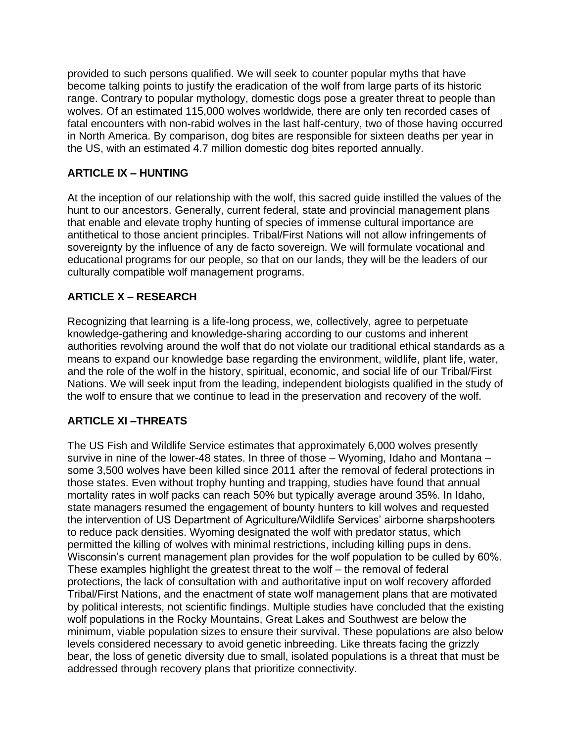provided to such persons qualified. We will seek to counter popular myths that have become talking points to justify the eradication of the wolf from large parts of its historic range. Contrary to popular mythology, domestic dogs pose a greater threat to people than wolves. Of an estimated 115,000 wolves worldwide, there are only ten recorded cases of fatal encounters with non-rabid wolves in the last half-century, two of those having occurred in North America. By comparison, dog bites are responsible for sixteen deaths per year in the US, with an estimated 4.7 million domestic dog bites reported annually.

# **ARTICLE IX – HUNTING**

At the inception of our relationship with the wolf, this sacred guide instilled the values of the hunt to our ancestors. Generally, current federal, state and provincial management plans that enable and elevate trophy hunting of species of immense cultural importance are antithetical to those ancient principles. Tribal/First Nations will not allow infringements of sovereignty by the influence of any de facto sovereign. We will formulate vocational and educational programs for our people, so that on our lands, they will be the leaders of our culturally compatible wolf management programs.

## **ARTICLE X – RESEARCH**

Recognizing that learning is a life-long process, we, collectively, agree to perpetuate knowledge-gathering and knowledge-sharing according to our customs and inherent authorities revolving around the wolf that do not violate our traditional ethical standards as a means to expand our knowledge base regarding the environment, wildlife, plant life, water, and the role of the wolf in the history, spiritual, economic, and social life of our Tribal/First Nations. We will seek input from the leading, independent biologists qualified in the study of the wolf to ensure that we continue to lead in the preservation and recovery of the wolf.

## **ARTICLE XI –THREATS**

The US Fish and Wildlife Service estimates that approximately 6,000 wolves presently survive in nine of the lower-48 states. In three of those – Wyoming, Idaho and Montana – some 3,500 wolves have been killed since 2011 after the removal of federal protections in those states. Even without trophy hunting and trapping, studies have found that annual mortality rates in wolf packs can reach 50% but typically average around 35%. In Idaho, state managers resumed the engagement of bounty hunters to kill wolves and requested the intervention of US Department of Agriculture/Wildlife Services' airborne sharpshooters to reduce pack densities. Wyoming designated the wolf with predator status, which permitted the killing of wolves with minimal restrictions, including killing pups in dens. Wisconsin's current management plan provides for the wolf population to be culled by 60%. These examples highlight the greatest threat to the wolf – the removal of federal protections, the lack of consultation with and authoritative input on wolf recovery afforded Tribal/First Nations, and the enactment of state wolf management plans that are motivated by political interests, not scientific findings. Multiple studies have concluded that the existing wolf populations in the Rocky Mountains, Great Lakes and Southwest are below the minimum, viable population sizes to ensure their survival. These populations are also below levels considered necessary to avoid genetic inbreeding. Like threats facing the grizzly bear, the loss of genetic diversity due to small, isolated populations is a threat that must be addressed through recovery plans that prioritize connectivity.